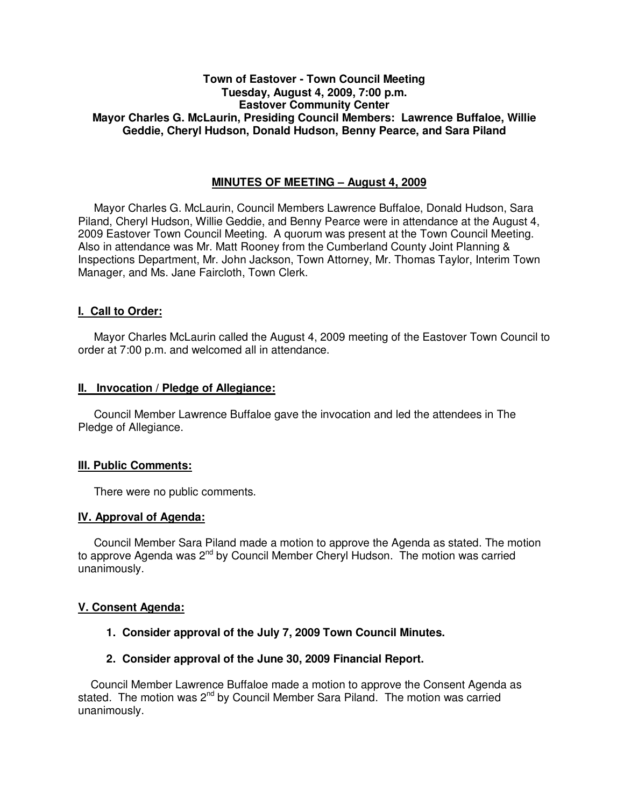# **Town of Eastover - Town Council Meeting Tuesday, August 4, 2009, 7:00 p.m. Eastover Community Center Mayor Charles G. McLaurin, Presiding Council Members: Lawrence Buffaloe, Willie Geddie, Cheryl Hudson, Donald Hudson, Benny Pearce, and Sara Piland**

# **MINUTES OF MEETING – August 4, 2009**

Mayor Charles G. McLaurin, Council Members Lawrence Buffaloe, Donald Hudson, Sara Piland, Cheryl Hudson, Willie Geddie, and Benny Pearce were in attendance at the August 4, 2009 Eastover Town Council Meeting. A quorum was present at the Town Council Meeting. Also in attendance was Mr. Matt Rooney from the Cumberland County Joint Planning & Inspections Department, Mr. John Jackson, Town Attorney, Mr. Thomas Taylor, Interim Town Manager, and Ms. Jane Faircloth, Town Clerk.

## **I. Call to Order:**

Mayor Charles McLaurin called the August 4, 2009 meeting of the Eastover Town Council to order at 7:00 p.m. and welcomed all in attendance.

#### **II. Invocation / Pledge of Allegiance:**

 Council Member Lawrence Buffaloe gave the invocation and led the attendees in The Pledge of Allegiance.

## **III. Public Comments:**

There were no public comments.

## **IV. Approval of Agenda:**

 Council Member Sara Piland made a motion to approve the Agenda as stated. The motion to approve Agenda was 2<sup>nd</sup> by Council Member Cheryl Hudson. The motion was carried unanimously.

## **V. Consent Agenda:**

 **1. Consider approval of the July 7, 2009 Town Council Minutes.** 

## **2. Consider approval of the June 30, 2009 Financial Report.**

 Council Member Lawrence Buffaloe made a motion to approve the Consent Agenda as stated. The motion was 2<sup>nd</sup> by Council Member Sara Piland. The motion was carried unanimously.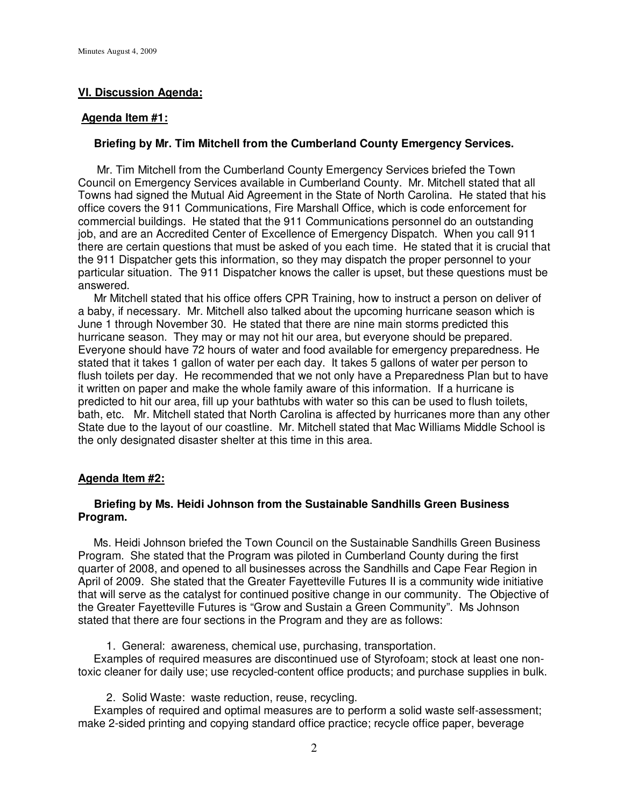# **VI. Discussion Agenda:**

#### **Agenda Item #1:**

#### **Briefing by Mr. Tim Mitchell from the Cumberland County Emergency Services.**

 Mr. Tim Mitchell from the Cumberland County Emergency Services briefed the Town Council on Emergency Services available in Cumberland County. Mr. Mitchell stated that all Towns had signed the Mutual Aid Agreement in the State of North Carolina. He stated that his office covers the 911 Communications, Fire Marshall Office, which is code enforcement for commercial buildings. He stated that the 911 Communications personnel do an outstanding job, and are an Accredited Center of Excellence of Emergency Dispatch. When you call 911 there are certain questions that must be asked of you each time. He stated that it is crucial that the 911 Dispatcher gets this information, so they may dispatch the proper personnel to your particular situation. The 911 Dispatcher knows the caller is upset, but these questions must be answered.

 Mr Mitchell stated that his office offers CPR Training, how to instruct a person on deliver of a baby, if necessary. Mr. Mitchell also talked about the upcoming hurricane season which is June 1 through November 30. He stated that there are nine main storms predicted this hurricane season. They may or may not hit our area, but everyone should be prepared. Everyone should have 72 hours of water and food available for emergency preparedness. He stated that it takes 1 gallon of water per each day. It takes 5 gallons of water per person to flush toilets per day. He recommended that we not only have a Preparedness Plan but to have it written on paper and make the whole family aware of this information. If a hurricane is predicted to hit our area, fill up your bathtubs with water so this can be used to flush toilets, bath, etc. Mr. Mitchell stated that North Carolina is affected by hurricanes more than any other State due to the layout of our coastline. Mr. Mitchell stated that Mac Williams Middle School is the only designated disaster shelter at this time in this area.

## **Agenda Item #2:**

## **Briefing by Ms. Heidi Johnson from the Sustainable Sandhills Green Business Program.**

 Ms. Heidi Johnson briefed the Town Council on the Sustainable Sandhills Green Business Program. She stated that the Program was piloted in Cumberland County during the first quarter of 2008, and opened to all businesses across the Sandhills and Cape Fear Region in April of 2009. She stated that the Greater Fayetteville Futures II is a community wide initiative that will serve as the catalyst for continued positive change in our community. The Objective of the Greater Fayetteville Futures is "Grow and Sustain a Green Community". Ms Johnson stated that there are four sections in the Program and they are as follows:

1. General: awareness, chemical use, purchasing, transportation.

 Examples of required measures are discontinued use of Styrofoam; stock at least one nontoxic cleaner for daily use; use recycled-content office products; and purchase supplies in bulk.

2. Solid Waste: waste reduction, reuse, recycling.

 Examples of required and optimal measures are to perform a solid waste self-assessment; make 2-sided printing and copying standard office practice; recycle office paper, beverage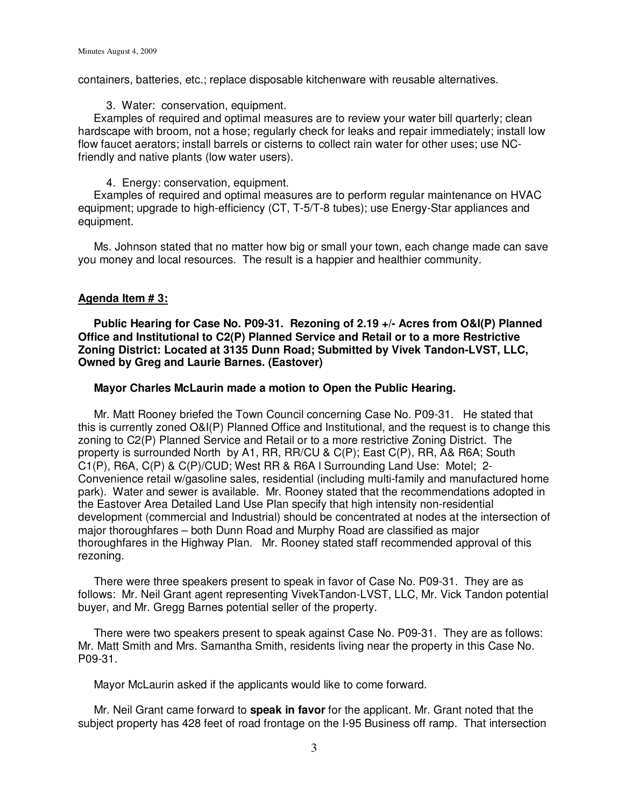containers, batteries, etc.; replace disposable kitchenware with reusable alternatives.

#### 3. Water: conservation, equipment.

 Examples of required and optimal measures are to review your water bill quarterly; clean hardscape with broom, not a hose; regularly check for leaks and repair immediately; install low flow faucet aerators; install barrels or cisterns to collect rain water for other uses; use NCfriendly and native plants (low water users).

## 4. Energy: conservation, equipment.

 Examples of required and optimal measures are to perform regular maintenance on HVAC equipment; upgrade to high-efficiency (CT, T-5/T-8 tubes); use Energy-Star appliances and equipment.

 Ms. Johnson stated that no matter how big or small your town, each change made can save you money and local resources. The result is a happier and healthier community.

## **Agenda Item # 3:**

 **Public Hearing for Case No. P09-31. Rezoning of 2.19 +/- Acres from O&I(P) Planned Office and Institutional to C2(P) Planned Service and Retail or to a more Restrictive Zoning District: Located at 3135 Dunn Road; Submitted by Vivek Tandon-LVST, LLC, Owned by Greg and Laurie Barnes. (Eastover)** 

## **Mayor Charles McLaurin made a motion to Open the Public Hearing.**

 Mr. Matt Rooney briefed the Town Council concerning Case No. P09-31. He stated that this is currently zoned O&I(P) Planned Office and Institutional, and the request is to change this zoning to C2(P) Planned Service and Retail or to a more restrictive Zoning District. The property is surrounded North by A1, RR, RR/CU & C(P); East C(P), RR, A& R6A; South C1(P), R6A, C(P) & C(P)/CUD; West RR & R6A l Surrounding Land Use: Motel; 2- Convenience retail w/gasoline sales, residential (including multi-family and manufactured home park). Water and sewer is available. Mr. Rooney stated that the recommendations adopted in the Eastover Area Detailed Land Use Plan specify that high intensity non-residential development (commercial and Industrial) should be concentrated at nodes at the intersection of major thoroughfares – both Dunn Road and Murphy Road are classified as major thoroughfares in the Highway Plan. Mr. Rooney stated staff recommended approval of this rezoning.

 There were three speakers present to speak in favor of Case No. P09-31. They are as follows: Mr. Neil Grant agent representing VivekTandon-LVST, LLC, Mr. Vick Tandon potential buyer, and Mr. Gregg Barnes potential seller of the property.

 There were two speakers present to speak against Case No. P09-31. They are as follows: Mr. Matt Smith and Mrs. Samantha Smith, residents living near the property in this Case No. P09-31.

Mayor McLaurin asked if the applicants would like to come forward.

 Mr. Neil Grant came forward to **speak in favor** for the applicant. Mr. Grant noted that the subject property has 428 feet of road frontage on the I-95 Business off ramp. That intersection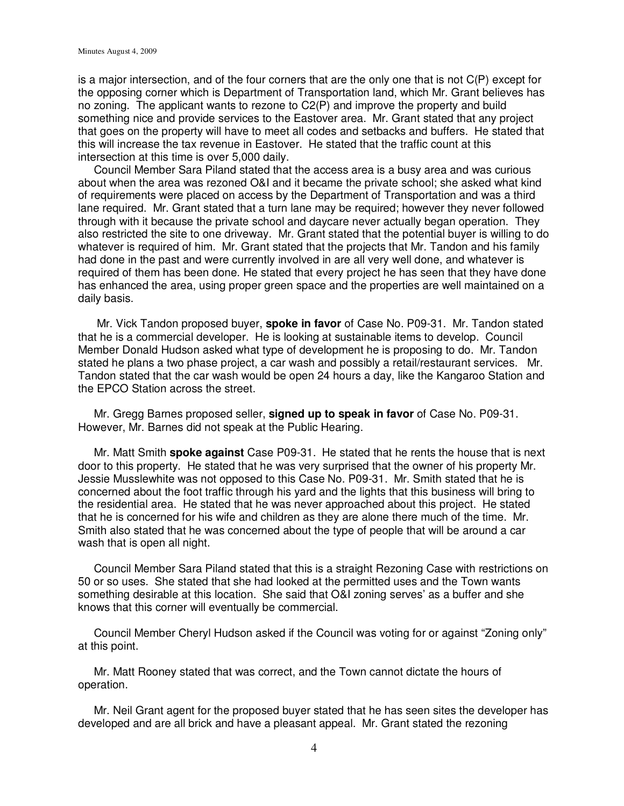is a major intersection, and of the four corners that are the only one that is not C(P) except for the opposing corner which is Department of Transportation land, which Mr. Grant believes has no zoning. The applicant wants to rezone to C2(P) and improve the property and build something nice and provide services to the Eastover area. Mr. Grant stated that any project that goes on the property will have to meet all codes and setbacks and buffers. He stated that this will increase the tax revenue in Eastover. He stated that the traffic count at this intersection at this time is over 5,000 daily.

 Council Member Sara Piland stated that the access area is a busy area and was curious about when the area was rezoned O&I and it became the private school; she asked what kind of requirements were placed on access by the Department of Transportation and was a third lane required. Mr. Grant stated that a turn lane may be required; however they never followed through with it because the private school and daycare never actually began operation. They also restricted the site to one driveway. Mr. Grant stated that the potential buyer is willing to do whatever is required of him. Mr. Grant stated that the projects that Mr. Tandon and his family had done in the past and were currently involved in are all very well done, and whatever is required of them has been done. He stated that every project he has seen that they have done has enhanced the area, using proper green space and the properties are well maintained on a daily basis.

 Mr. Vick Tandon proposed buyer, **spoke in favor** of Case No. P09-31. Mr. Tandon stated that he is a commercial developer. He is looking at sustainable items to develop. Council Member Donald Hudson asked what type of development he is proposing to do. Mr. Tandon stated he plans a two phase project, a car wash and possibly a retail/restaurant services. Mr. Tandon stated that the car wash would be open 24 hours a day, like the Kangaroo Station and the EPCO Station across the street.

 Mr. Gregg Barnes proposed seller, **signed up to speak in favor** of Case No. P09-31. However, Mr. Barnes did not speak at the Public Hearing.

 Mr. Matt Smith **spoke against** Case P09-31. He stated that he rents the house that is next door to this property. He stated that he was very surprised that the owner of his property Mr. Jessie Musslewhite was not opposed to this Case No. P09-31. Mr. Smith stated that he is concerned about the foot traffic through his yard and the lights that this business will bring to the residential area. He stated that he was never approached about this project. He stated that he is concerned for his wife and children as they are alone there much of the time. Mr. Smith also stated that he was concerned about the type of people that will be around a car wash that is open all night.

 Council Member Sara Piland stated that this is a straight Rezoning Case with restrictions on 50 or so uses. She stated that she had looked at the permitted uses and the Town wants something desirable at this location. She said that O&I zoning serves' as a buffer and she knows that this corner will eventually be commercial.

 Council Member Cheryl Hudson asked if the Council was voting for or against "Zoning only" at this point.

 Mr. Matt Rooney stated that was correct, and the Town cannot dictate the hours of operation.

 Mr. Neil Grant agent for the proposed buyer stated that he has seen sites the developer has developed and are all brick and have a pleasant appeal. Mr. Grant stated the rezoning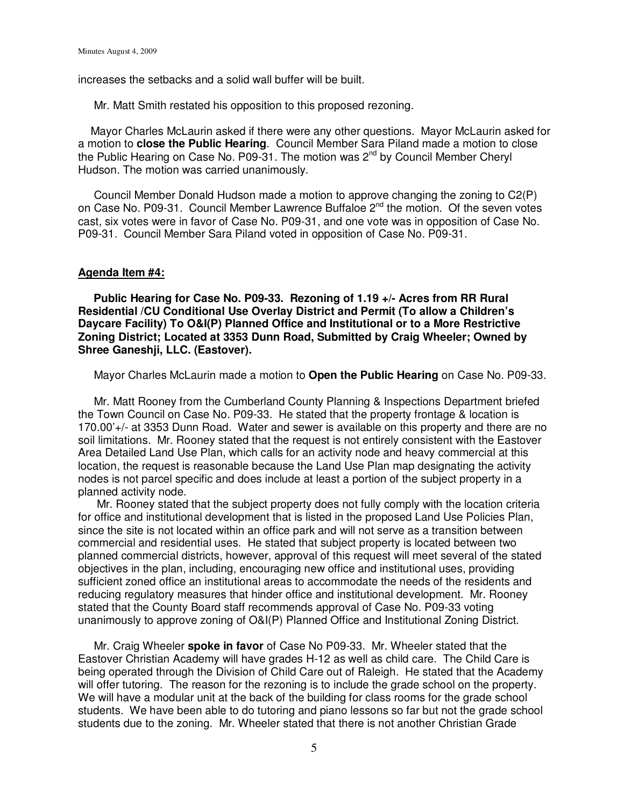increases the setbacks and a solid wall buffer will be built.

Mr. Matt Smith restated his opposition to this proposed rezoning.

 Mayor Charles McLaurin asked if there were any other questions. Mayor McLaurin asked for a motion to **close the Public Hearing**. Council Member Sara Piland made a motion to close the Public Hearing on Case No. P09-31. The motion was  $2^{nd}$  by Council Member Cheryl Hudson. The motion was carried unanimously.

 Council Member Donald Hudson made a motion to approve changing the zoning to C2(P) on Case No. P09-31. Council Member Lawrence Buffaloe 2<sup>nd</sup> the motion. Of the seven votes cast, six votes were in favor of Case No. P09-31, and one vote was in opposition of Case No. P09-31. Council Member Sara Piland voted in opposition of Case No. P09-31.

#### **Agenda Item #4:**

 **Public Hearing for Case No. P09-33. Rezoning of 1.19 +/- Acres from RR Rural Residential /CU Conditional Use Overlay District and Permit (To allow a Children's Daycare Facility) To O&I(P) Planned Office and Institutional or to a More Restrictive Zoning District; Located at 3353 Dunn Road, Submitted by Craig Wheeler; Owned by Shree Ganeshji, LLC. (Eastover).** 

Mayor Charles McLaurin made a motion to **Open the Public Hearing** on Case No. P09-33.

 Mr. Matt Rooney from the Cumberland County Planning & Inspections Department briefed the Town Council on Case No. P09-33. He stated that the property frontage & location is 170.00'+/- at 3353 Dunn Road. Water and sewer is available on this property and there are no soil limitations. Mr. Rooney stated that the request is not entirely consistent with the Eastover Area Detailed Land Use Plan, which calls for an activity node and heavy commercial at this location, the request is reasonable because the Land Use Plan map designating the activity nodes is not parcel specific and does include at least a portion of the subject property in a planned activity node.

 Mr. Rooney stated that the subject property does not fully comply with the location criteria for office and institutional development that is listed in the proposed Land Use Policies Plan, since the site is not located within an office park and will not serve as a transition between commercial and residential uses. He stated that subject property is located between two planned commercial districts, however, approval of this request will meet several of the stated objectives in the plan, including, encouraging new office and institutional uses, providing sufficient zoned office an institutional areas to accommodate the needs of the residents and reducing regulatory measures that hinder office and institutional development. Mr. Rooney stated that the County Board staff recommends approval of Case No. P09-33 voting unanimously to approve zoning of O&I(P) Planned Office and Institutional Zoning District.

 Mr. Craig Wheeler **spoke in favor** of Case No P09-33. Mr. Wheeler stated that the Eastover Christian Academy will have grades H-12 as well as child care. The Child Care is being operated through the Division of Child Care out of Raleigh. He stated that the Academy will offer tutoring. The reason for the rezoning is to include the grade school on the property. We will have a modular unit at the back of the building for class rooms for the grade school students. We have been able to do tutoring and piano lessons so far but not the grade school students due to the zoning. Mr. Wheeler stated that there is not another Christian Grade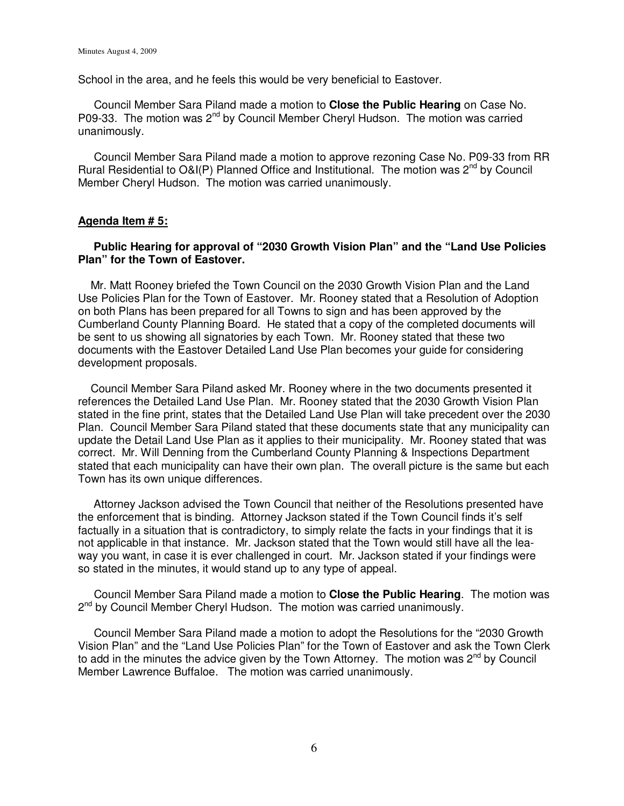School in the area, and he feels this would be very beneficial to Eastover.

 Council Member Sara Piland made a motion to **Close the Public Hearing** on Case No. P09-33. The motion was 2<sup>nd</sup> by Council Member Cheryl Hudson. The motion was carried unanimously.

 Council Member Sara Piland made a motion to approve rezoning Case No. P09-33 from RR Rural Residential to O&I(P) Planned Office and Institutional. The motion was  $2^{nd}$  by Council Member Cheryl Hudson. The motion was carried unanimously.

#### **Agenda Item # 5:**

# **Public Hearing for approval of "2030 Growth Vision Plan" and the "Land Use Policies Plan" for the Town of Eastover.**

 Mr. Matt Rooney briefed the Town Council on the 2030 Growth Vision Plan and the Land Use Policies Plan for the Town of Eastover. Mr. Rooney stated that a Resolution of Adoption on both Plans has been prepared for all Towns to sign and has been approved by the Cumberland County Planning Board. He stated that a copy of the completed documents will be sent to us showing all signatories by each Town. Mr. Rooney stated that these two documents with the Eastover Detailed Land Use Plan becomes your guide for considering development proposals.

 Council Member Sara Piland asked Mr. Rooney where in the two documents presented it references the Detailed Land Use Plan. Mr. Rooney stated that the 2030 Growth Vision Plan stated in the fine print, states that the Detailed Land Use Plan will take precedent over the 2030 Plan. Council Member Sara Piland stated that these documents state that any municipality can update the Detail Land Use Plan as it applies to their municipality. Mr. Rooney stated that was correct. Mr. Will Denning from the Cumberland County Planning & Inspections Department stated that each municipality can have their own plan. The overall picture is the same but each Town has its own unique differences.

 Attorney Jackson advised the Town Council that neither of the Resolutions presented have the enforcement that is binding. Attorney Jackson stated if the Town Council finds it's self factually in a situation that is contradictory, to simply relate the facts in your findings that it is not applicable in that instance. Mr. Jackson stated that the Town would still have all the leaway you want, in case it is ever challenged in court. Mr. Jackson stated if your findings were so stated in the minutes, it would stand up to any type of appeal.

 Council Member Sara Piland made a motion to **Close the Public Hearing**. The motion was 2<sup>nd</sup> by Council Member Cheryl Hudson. The motion was carried unanimously.

 Council Member Sara Piland made a motion to adopt the Resolutions for the "2030 Growth Vision Plan" and the "Land Use Policies Plan" for the Town of Eastover and ask the Town Clerk to add in the minutes the advice given by the Town Attorney. The motion was  $2^{nd}$  by Council Member Lawrence Buffaloe.The motion was carried unanimously.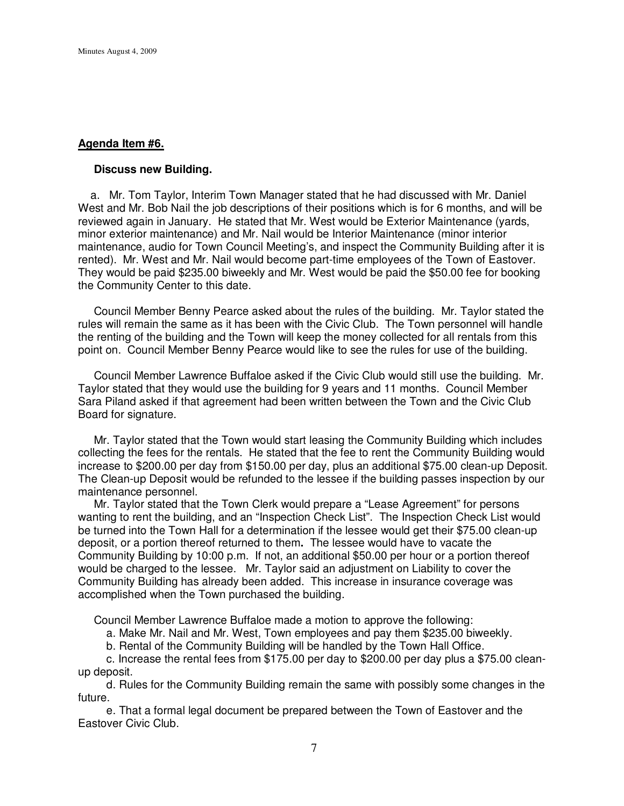## **Agenda Item #6.**

#### **Discuss new Building.**

 a. Mr. Tom Taylor, Interim Town Manager stated that he had discussed with Mr. Daniel West and Mr. Bob Nail the job descriptions of their positions which is for 6 months, and will be reviewed again in January. He stated that Mr. West would be Exterior Maintenance (yards, minor exterior maintenance) and Mr. Nail would be Interior Maintenance (minor interior maintenance, audio for Town Council Meeting's, and inspect the Community Building after it is rented). Mr. West and Mr. Nail would become part-time employees of the Town of Eastover. They would be paid \$235.00 biweekly and Mr. West would be paid the \$50.00 fee for booking the Community Center to this date.

 Council Member Benny Pearce asked about the rules of the building. Mr. Taylor stated the rules will remain the same as it has been with the Civic Club. The Town personnel will handle the renting of the building and the Town will keep the money collected for all rentals from this point on. Council Member Benny Pearce would like to see the rules for use of the building.

 Council Member Lawrence Buffaloe asked if the Civic Club would still use the building. Mr. Taylor stated that they would use the building for 9 years and 11 months. Council Member Sara Piland asked if that agreement had been written between the Town and the Civic Club Board for signature.

 Mr. Taylor stated that the Town would start leasing the Community Building which includes collecting the fees for the rentals. He stated that the fee to rent the Community Building would increase to \$200.00 per day from \$150.00 per day, plus an additional \$75.00 clean-up Deposit. The Clean-up Deposit would be refunded to the lessee if the building passes inspection by our maintenance personnel.

 Mr. Taylor stated that the Town Clerk would prepare a "Lease Agreement" for persons wanting to rent the building, and an "Inspection Check List". The Inspection Check List would be turned into the Town Hall for a determination if the lessee would get their \$75.00 clean-up deposit, or a portion thereof returned to them**.** The lessee would have to vacate the Community Building by 10:00 p.m. If not, an additional \$50.00 per hour or a portion thereof would be charged to the lessee.Mr. Taylor said an adjustment on Liability to cover the Community Building has already been added. This increase in insurance coverage was accomplished when the Town purchased the building.

Council Member Lawrence Buffaloe made a motion to approve the following:

a. Make Mr. Nail and Mr. West, Town employees and pay them \$235.00 biweekly.

b. Rental of the Community Building will be handled by the Town Hall Office.

 c. Increase the rental fees from \$175.00 per day to \$200.00 per day plus a \$75.00 cleanup deposit.

 d. Rules for the Community Building remain the same with possibly some changes in the future.

 e. That a formal legal document be prepared between the Town of Eastover and the Eastover Civic Club.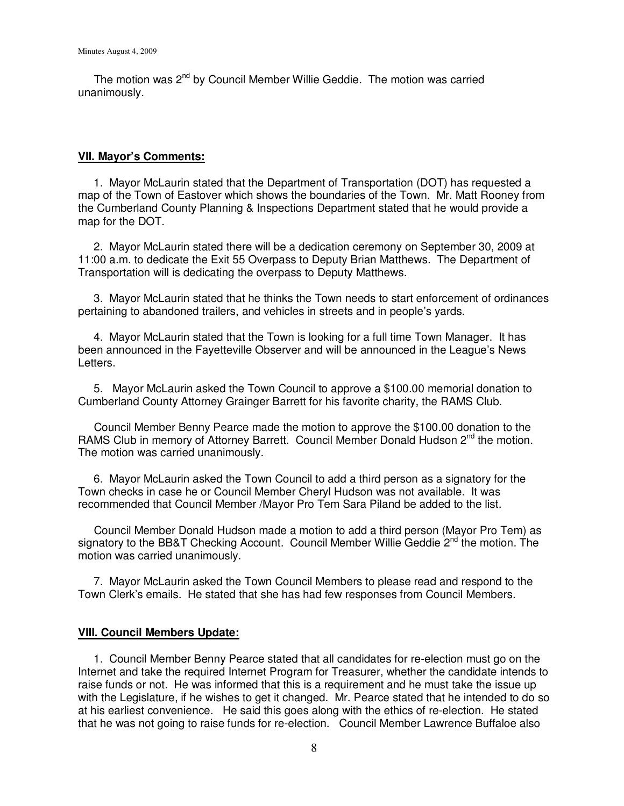The motion was 2<sup>nd</sup> by Council Member Willie Geddie. The motion was carried unanimously.

## **VII. Mayor's Comments:**

 1. Mayor McLaurin stated that the Department of Transportation (DOT) has requested a map of the Town of Eastover which shows the boundaries of the Town. Mr. Matt Rooney from the Cumberland County Planning & Inspections Department stated that he would provide a map for the DOT.

 2. Mayor McLaurin stated there will be a dedication ceremony on September 30, 2009 at 11:00 a.m. to dedicate the Exit 55 Overpass to Deputy Brian Matthews. The Department of Transportation will is dedicating the overpass to Deputy Matthews.

 3. Mayor McLaurin stated that he thinks the Town needs to start enforcement of ordinances pertaining to abandoned trailers, and vehicles in streets and in people's yards.

 4. Mayor McLaurin stated that the Town is looking for a full time Town Manager. It has been announced in the Fayetteville Observer and will be announced in the League's News Letters.

 5. Mayor McLaurin asked the Town Council to approve a \$100.00 memorial donation to Cumberland County Attorney Grainger Barrett for his favorite charity, the RAMS Club.

 Council Member Benny Pearce made the motion to approve the \$100.00 donation to the RAMS Club in memory of Attorney Barrett. Council Member Donald Hudson 2<sup>nd</sup> the motion. The motion was carried unanimously.

 6. Mayor McLaurin asked the Town Council to add a third person as a signatory for the Town checks in case he or Council Member Cheryl Hudson was not available. It was recommended that Council Member /Mayor Pro Tem Sara Piland be added to the list.

 Council Member Donald Hudson made a motion to add a third person (Mayor Pro Tem) as signatory to the BB&T Checking Account. Council Member Willie Geddie 2<sup>nd</sup> the motion. The motion was carried unanimously.

 7. Mayor McLaurin asked the Town Council Members to please read and respond to the Town Clerk's emails. He stated that she has had few responses from Council Members.

# **VIII. Council Members Update:**

 1. Council Member Benny Pearce stated that all candidates for re-election must go on the Internet and take the required Internet Program for Treasurer, whether the candidate intends to raise funds or not. He was informed that this is a requirement and he must take the issue up with the Legislature, if he wishes to get it changed. Mr. Pearce stated that he intended to do so at his earliest convenience. He said this goes along with the ethics of re-election. He stated that he was not going to raise funds for re-election. Council Member Lawrence Buffaloe also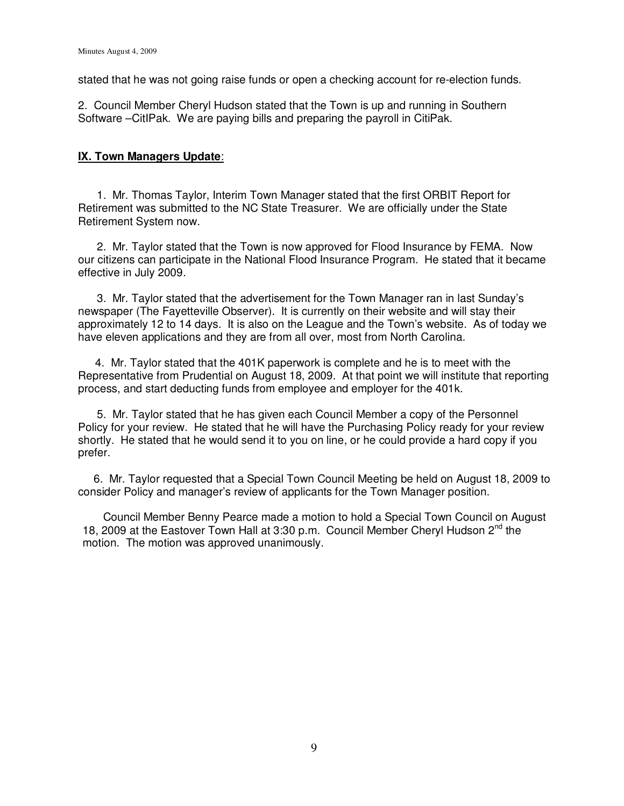stated that he was not going raise funds or open a checking account for re-election funds.

2. Council Member Cheryl Hudson stated that the Town is up and running in Southern Software –CitIPak. We are paying bills and preparing the payroll in CitiPak.

## **IX. Town Managers Update**:

 1. Mr. Thomas Taylor, Interim Town Manager stated that the first ORBIT Report for Retirement was submitted to the NC State Treasurer. We are officially under the State Retirement System now.

 2. Mr. Taylor stated that the Town is now approved for Flood Insurance by FEMA. Now our citizens can participate in the National Flood Insurance Program. He stated that it became effective in July 2009.

 3. Mr. Taylor stated that the advertisement for the Town Manager ran in last Sunday's newspaper (The Fayetteville Observer). It is currently on their website and will stay their approximately 12 to 14 days. It is also on the League and the Town's website. As of today we have eleven applications and they are from all over, most from North Carolina.

 4. Mr. Taylor stated that the 401K paperwork is complete and he is to meet with the Representative from Prudential on August 18, 2009. At that point we will institute that reporting process, and start deducting funds from employee and employer for the 401k.

 5. Mr. Taylor stated that he has given each Council Member a copy of the Personnel Policy for your review. He stated that he will have the Purchasing Policy ready for your review shortly. He stated that he would send it to you on line, or he could provide a hard copy if you prefer.

 6. Mr. Taylor requested that a Special Town Council Meeting be held on August 18, 2009 to consider Policy and manager's review of applicants for the Town Manager position.

 Council Member Benny Pearce made a motion to hold a Special Town Council on August 18, 2009 at the Eastover Town Hall at 3:30 p.m. Council Member Cheryl Hudson  $2^{nd}$  the motion. The motion was approved unanimously.